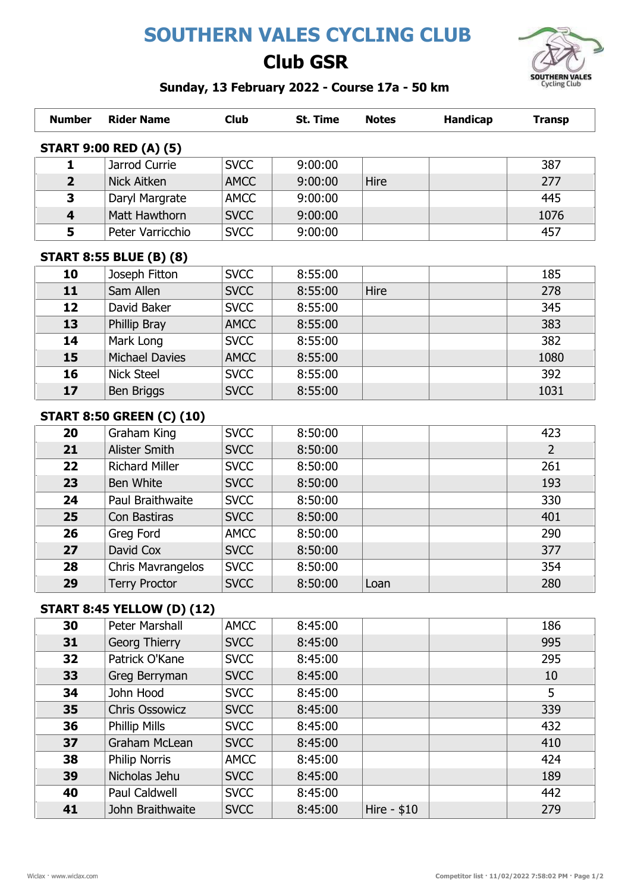# SOUTHERN VALES CYCLING CLUB

## Club GSR



### Sunday, 13 February 2022 - Course 17a - 50 km

| <b>Number</b>                 | <b>Rider Name</b>     | <b>Club</b> | St. Time | <b>Notes</b> | <b>Handicap</b> | Transp |  |
|-------------------------------|-----------------------|-------------|----------|--------------|-----------------|--------|--|
| <b>START 9:00 RED (A) (5)</b> |                       |             |          |              |                 |        |  |
| 1                             | Jarrod Currie         | <b>SVCC</b> | 9:00:00  |              |                 | 387    |  |
| $\overline{2}$                | Nick Aitken           | <b>AMCC</b> | 9:00:00  | Hire         |                 | 277    |  |
| 3                             | Daryl Margrate        | <b>AMCC</b> | 9:00:00  |              |                 | 445    |  |
| $\overline{4}$                | Matt Hawthorn         | <b>SVCC</b> | 9:00:00  |              |                 | 1076   |  |
| 5                             | Peter Varricchio      | <b>SVCC</b> | 9:00:00  |              |                 | 457    |  |
|                               | - - - - - - - - - - - |             |          |              |                 |        |  |

#### START 8:55 BLUE (B) (8)

| 10 | Joseph Fitton         | <b>SVCC</b> | 8:55:00 |             | 185  |
|----|-----------------------|-------------|---------|-------------|------|
| 11 | Sam Allen             | <b>SVCC</b> | 8:55:00 | <b>Hire</b> | 278  |
| 12 | David Baker           | <b>SVCC</b> | 8:55:00 |             | 345  |
| 13 | Phillip Bray          | <b>AMCC</b> | 8:55:00 |             | 383  |
| 14 | Mark Long             | <b>SVCC</b> | 8:55:00 |             | 382  |
| 15 | <b>Michael Davies</b> | <b>AMCC</b> | 8:55:00 |             | 1080 |
| 16 | <b>Nick Steel</b>     | <b>SVCC</b> | 8:55:00 |             | 392  |
| 17 | Ben Briggs            | <b>SVCC</b> | 8:55:00 |             | 1031 |

### START 8:50 GREEN (C) (10)

| 20 | Graham King           | <b>SVCC</b> | 8:50:00 |      | 423            |
|----|-----------------------|-------------|---------|------|----------------|
| 21 | Alister Smith         | <b>SVCC</b> | 8:50:00 |      | $\overline{2}$ |
| 22 | <b>Richard Miller</b> | <b>SVCC</b> | 8:50:00 |      | 261            |
| 23 | Ben White             | <b>SVCC</b> | 8:50:00 |      | 193            |
| 24 | Paul Braithwaite      | <b>SVCC</b> | 8:50:00 |      | 330            |
| 25 | Con Bastiras          | <b>SVCC</b> | 8:50:00 |      | 401            |
| 26 | Greg Ford             | <b>AMCC</b> | 8:50:00 |      | 290            |
| 27 | David Cox             | <b>SVCC</b> | 8:50:00 |      | 377            |
| 28 | Chris Mavrangelos     | <b>SVCC</b> | 8:50:00 |      | 354            |
| 29 | <b>Terry Proctor</b>  | <b>SVCC</b> | 8:50:00 | Loan | 280            |

### START 8:45 YELLOW (D) (12)

| 30 | Peter Marshall        | <b>AMCC</b> | 8:45:00 |              | 186 |
|----|-----------------------|-------------|---------|--------------|-----|
| 31 | Georg Thierry         | <b>SVCC</b> | 8:45:00 |              | 995 |
| 32 | Patrick O'Kane        | <b>SVCC</b> | 8:45:00 |              | 295 |
| 33 | Greg Berryman         | <b>SVCC</b> | 8:45:00 |              | 10  |
| 34 | John Hood             | <b>SVCC</b> | 8:45:00 |              | 5   |
| 35 | <b>Chris Ossowicz</b> | <b>SVCC</b> | 8:45:00 |              | 339 |
| 36 | <b>Phillip Mills</b>  | <b>SVCC</b> | 8:45:00 |              | 432 |
| 37 | Graham McLean         | <b>SVCC</b> | 8:45:00 |              | 410 |
| 38 | <b>Philip Norris</b>  | <b>AMCC</b> | 8:45:00 |              | 424 |
| 39 | Nicholas Jehu         | <b>SVCC</b> | 8:45:00 |              | 189 |
| 40 | <b>Paul Caldwell</b>  | <b>SVCC</b> | 8:45:00 |              | 442 |
| 41 | John Braithwaite      | <b>SVCC</b> | 8:45:00 | Hire - $$10$ | 279 |